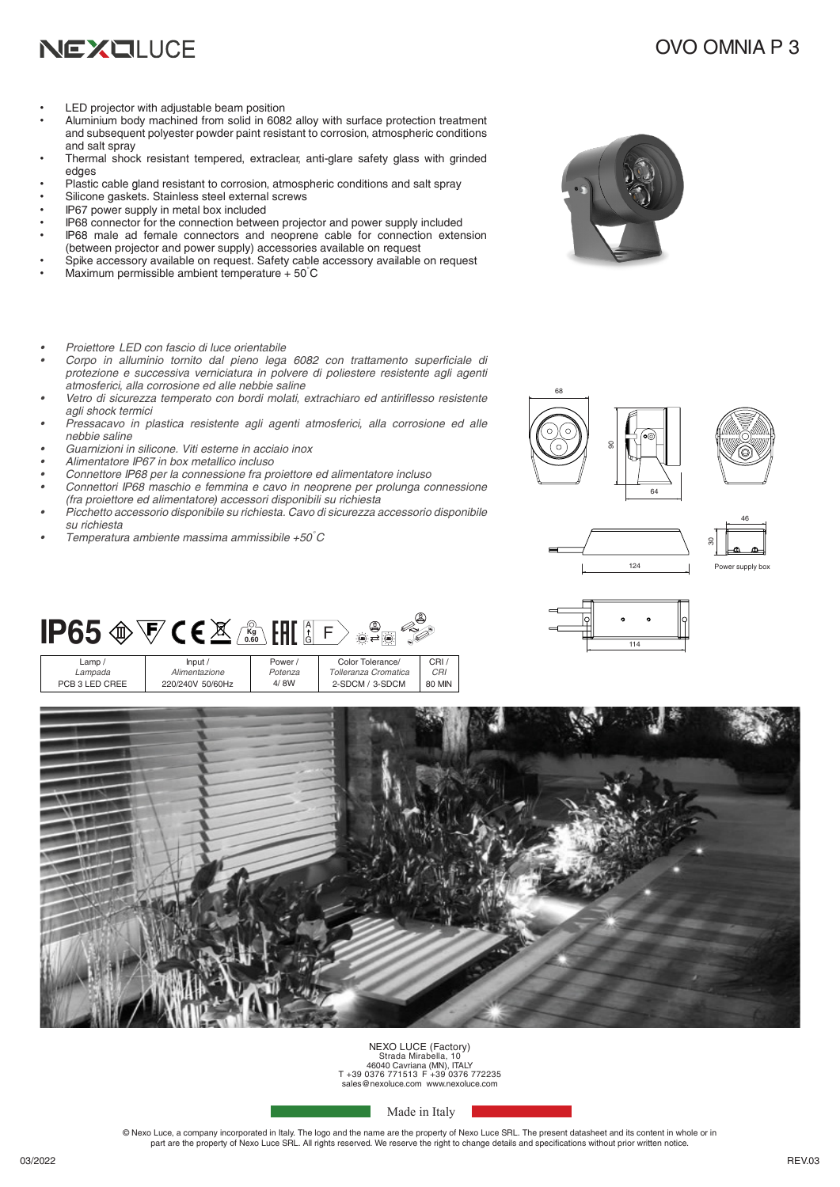

### OVO OMNIA P 3

- LED projector with adjustable beam position
- Aluminium body machined from solid in 6082 alloy with surface protection treatment and subsequent polyester powder paint resistant to corrosion, atmospheric conditions and salt spray
- Thermal shock resistant tempered, extraclear, anti-glare safety glass with grinded edges
- Plastic cable gland resistant to corrosion, atmospheric conditions and salt spray
- Silicone gaskets. Stainless steel external screws
- IP67 power supply in metal box included
- IP68 connector for the connection between projector and power supply included IP68 male ad female connectors and neoprene cable for connection extension
- (between projector and power supply) accessories available on request
- Spike accessory available on request. Safety cable accessory available on request Maximum permissible ambient temperature + 50°C
- *• Proiettore LED con fascio di luce orientabile*
- *• Corpo in alluminio tornito dal pieno lega 6082 con trattamento superficiale di protezione e successiva verniciatura in polvere di poliestere resistente agli agenti atmosferici, alla corrosione ed alle nebbie saline*
- *• Vetro di sicurezza temperato con bordi molati, extrachiaro ed antiriflesso resistente agli shock termici*
- *• Pressacavo in plastica resistente agli agenti atmosferici, alla corrosione ed alle nebbie saline*
- *• Guarnizioni in silicone. Viti esterne in acciaio inox*
- *• Alimentatore IP67 in box metallico incluso*
- *• Connettore IP68 per la connessione fra proiettore ed alimentatore incluso*
- *• Connettori IP68 maschio e femmina e cavo in neoprene per prolunga connessione*
- *(fra proiettore ed alimentatore) accessori disponibili su richiesta*
- *• Picchetto accessorio disponibile su richiesta. Cavo di sicurezza accessorio disponibile su richiesta*
- *• Temperatura ambiente massima ammissibile +50°C*











## **IP65**  $\circledast \nabla$  **CE** $\mathbb{X}$   $\mathbb{Z}$   $\stackrel{\circledast}{\longrightarrow}$   $\mathbb{H}$   $\stackrel{\circ}{\mathbb{S}}$  F

| Lamp/          | lnput/           | Power/  | Color Tolerance/     | CRI/          |
|----------------|------------------|---------|----------------------|---------------|
| Lampada        | Alimentazione    | Potenza | Tolleranza Cromatica | CRI           |
| PCB 3 LED CREE | 220/240V 50/60Hz | 4/8W    | 2-SDCM / 3-SDCM      | <b>80 MIN</b> |



# NEXO LUCE (Factory) Strada Mirabella, 10 46040 Cavriana (MN), ITALY T +39 0376 771513 F +39 0376 772235 sales@nexoluce.com www.nexoluce.com

Made in Italy

© Nexo Luce, a company incorporated in Italy. The logo and the name are the property of Nexo Luce SRL. The present datasheet and its content in whole or in part are the property of Nexo Luce SRL. All rights reserved. We reserve the right to change details and specifications without prior written notice.